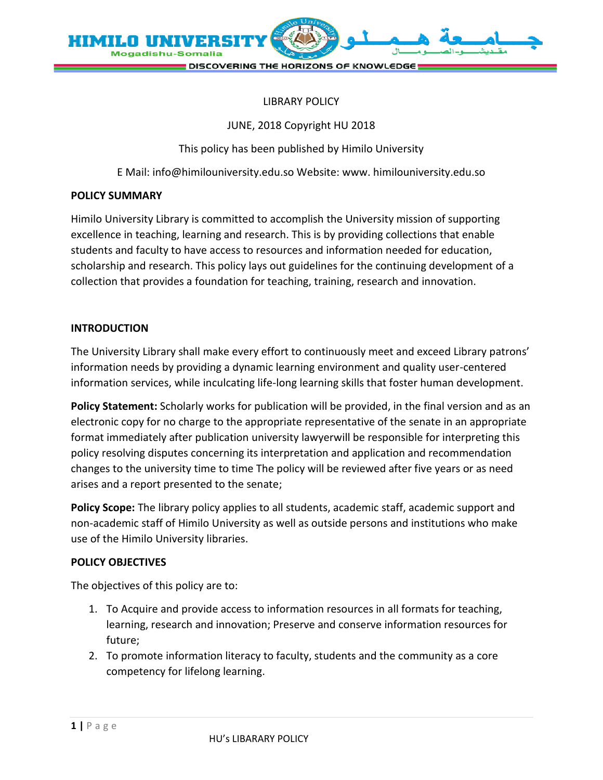

#### LIBRARY POLICY

#### JUNE, 2018 Copyright HU 2018

This policy has been published by Himilo University

E Mail: info@himilouniversity.edu.so Website: www. himilouniversity.edu.so

#### **POLICY SUMMARY**

Himilo University Library is committed to accomplish the University mission of supporting excellence in teaching, learning and research. This is by providing collections that enable students and faculty to have access to resources and information needed for education, scholarship and research. This policy lays out guidelines for the continuing development of a collection that provides a foundation for teaching, training, research and innovation.

# **INTRODUCTION**

The University Library shall make every effort to continuously meet and exceed Library patrons' information needs by providing a dynamic learning environment and quality user-centered information services, while inculcating life-long learning skills that foster human development.

**Policy Statement:** Scholarly works for publication will be provided, in the final version and as an electronic copy for no charge to the appropriate representative of the senate in an appropriate format immediately after publication university lawyerwill be responsible for interpreting this policy resolving disputes concerning its interpretation and application and recommendation changes to the university time to time The policy will be reviewed after five years or as need arises and a report presented to the senate;

**Policy Scope:** The library policy applies to all students, academic staff, academic support and non-academic staff of Himilo University as well as outside persons and institutions who make use of the Himilo University libraries.

#### **POLICY OBJECTIVES**

The objectives of this policy are to:

- 1. To Acquire and provide access to information resources in all formats for teaching, learning, research and innovation; Preserve and conserve information resources for future;
- 2. To promote information literacy to faculty, students and the community as a core competency for lifelong learning.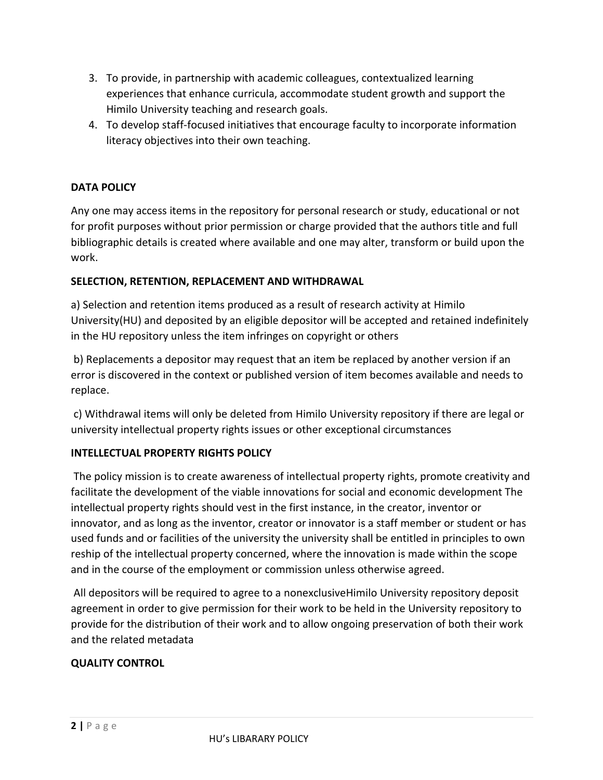- 3. To provide, in partnership with academic colleagues, contextualized learning experiences that enhance curricula, accommodate student growth and support the Himilo University teaching and research goals.
- 4. To develop staff-focused initiatives that encourage faculty to incorporate information literacy objectives into their own teaching.

# **DATA POLICY**

Any one may access items in the repository for personal research or study, educational or not for profit purposes without prior permission or charge provided that the authors title and full bibliographic details is created where available and one may alter, transform or build upon the work.

# **SELECTION, RETENTION, REPLACEMENT AND WITHDRAWAL**

a) Selection and retention items produced as a result of research activity at Himilo University(HU) and deposited by an eligible depositor will be accepted and retained indefinitely in the HU repository unless the item infringes on copyright or others

b) Replacements a depositor may request that an item be replaced by another version if an error is discovered in the context or published version of item becomes available and needs to replace.

c) Withdrawal items will only be deleted from Himilo University repository if there are legal or university intellectual property rights issues or other exceptional circumstances

# **INTELLECTUAL PROPERTY RIGHTS POLICY**

The policy mission is to create awareness of intellectual property rights, promote creativity and facilitate the development of the viable innovations for social and economic development The intellectual property rights should vest in the first instance, in the creator, inventor or innovator, and as long as the inventor, creator or innovator is a staff member or student or has used funds and or facilities of the university the university shall be entitled in principles to own reship of the intellectual property concerned, where the innovation is made within the scope and in the course of the employment or commission unless otherwise agreed.

All depositors will be required to agree to a nonexclusiveHimilo University repository deposit agreement in order to give permission for their work to be held in the University repository to provide for the distribution of their work and to allow ongoing preservation of both their work and the related metadata

# **QUALITY CONTROL**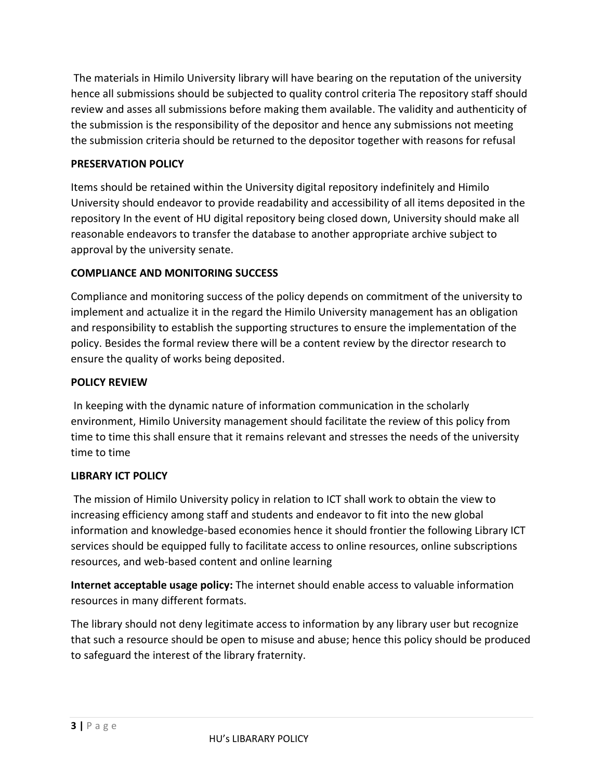The materials in Himilo University library will have bearing on the reputation of the university hence all submissions should be subjected to quality control criteria The repository staff should review and asses all submissions before making them available. The validity and authenticity of the submission is the responsibility of the depositor and hence any submissions not meeting the submission criteria should be returned to the depositor together with reasons for refusal

# **PRESERVATION POLICY**

Items should be retained within the University digital repository indefinitely and Himilo University should endeavor to provide readability and accessibility of all items deposited in the repository In the event of HU digital repository being closed down, University should make all reasonable endeavors to transfer the database to another appropriate archive subject to approval by the university senate.

# **COMPLIANCE AND MONITORING SUCCESS**

Compliance and monitoring success of the policy depends on commitment of the university to implement and actualize it in the regard the Himilo University management has an obligation and responsibility to establish the supporting structures to ensure the implementation of the policy. Besides the formal review there will be a content review by the director research to ensure the quality of works being deposited.

# **POLICY REVIEW**

In keeping with the dynamic nature of information communication in the scholarly environment, Himilo University management should facilitate the review of this policy from time to time this shall ensure that it remains relevant and stresses the needs of the university time to time

# **LIBRARY ICT POLICY**

The mission of Himilo University policy in relation to ICT shall work to obtain the view to increasing efficiency among staff and students and endeavor to fit into the new global information and knowledge-based economies hence it should frontier the following Library ICT services should be equipped fully to facilitate access to online resources, online subscriptions resources, and web-based content and online learning

**Internet acceptable usage policy:** The internet should enable access to valuable information resources in many different formats.

The library should not deny legitimate access to information by any library user but recognize that such a resource should be open to misuse and abuse; hence this policy should be produced to safeguard the interest of the library fraternity.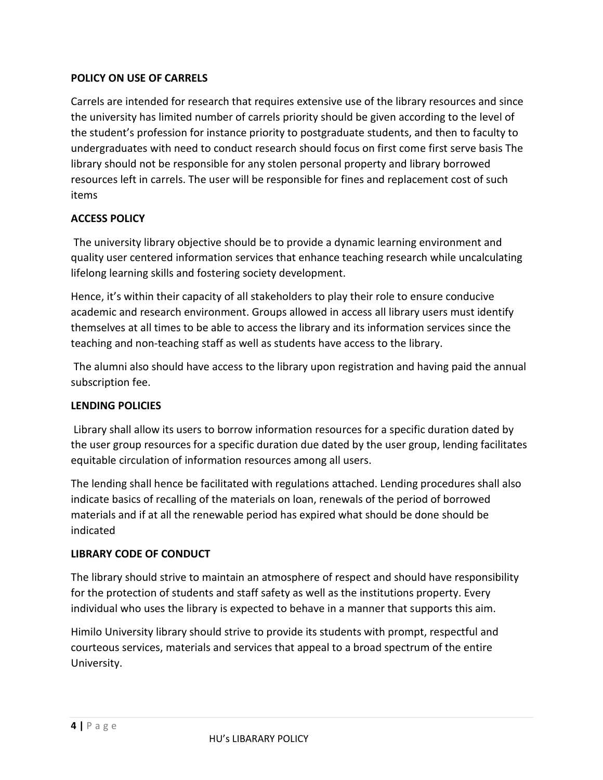# **POLICY ON USE OF CARRELS**

Carrels are intended for research that requires extensive use of the library resources and since the university has limited number of carrels priority should be given according to the level of the student's profession for instance priority to postgraduate students, and then to faculty to undergraduates with need to conduct research should focus on first come first serve basis The library should not be responsible for any stolen personal property and library borrowed resources left in carrels. The user will be responsible for fines and replacement cost of such items

# **ACCESS POLICY**

The university library objective should be to provide a dynamic learning environment and quality user centered information services that enhance teaching research while uncalculating lifelong learning skills and fostering society development.

Hence, it's within their capacity of all stakeholders to play their role to ensure conducive academic and research environment. Groups allowed in access all library users must identify themselves at all times to be able to access the library and its information services since the teaching and non-teaching staff as well as students have access to the library.

The alumni also should have access to the library upon registration and having paid the annual subscription fee.

# **LENDING POLICIES**

Library shall allow its users to borrow information resources for a specific duration dated by the user group resources for a specific duration due dated by the user group, lending facilitates equitable circulation of information resources among all users.

The lending shall hence be facilitated with regulations attached. Lending procedures shall also indicate basics of recalling of the materials on loan, renewals of the period of borrowed materials and if at all the renewable period has expired what should be done should be indicated

# **LIBRARY CODE OF CONDUCT**

The library should strive to maintain an atmosphere of respect and should have responsibility for the protection of students and staff safety as well as the institutions property. Every individual who uses the library is expected to behave in a manner that supports this aim.

Himilo University library should strive to provide its students with prompt, respectful and courteous services, materials and services that appeal to a broad spectrum of the entire University.